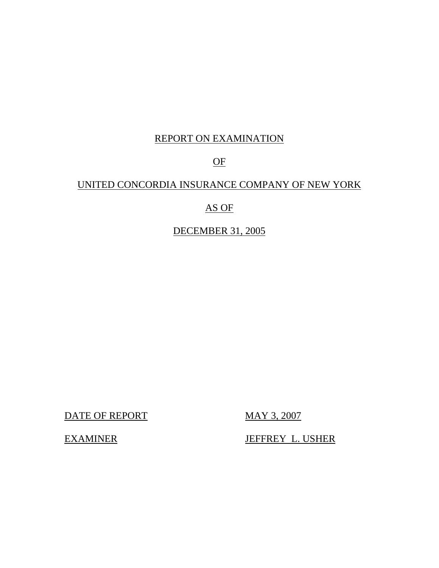# REPORT ON EXAMINATION

# OF

# UNITED CONCORDIA INSURANCE COMPANY OF NEW YORK

# AS OF

# DECEMBER 31, 2005

DATE OF REPORT MAY 3, 2007

EXAMINER JEFFREY L. USHER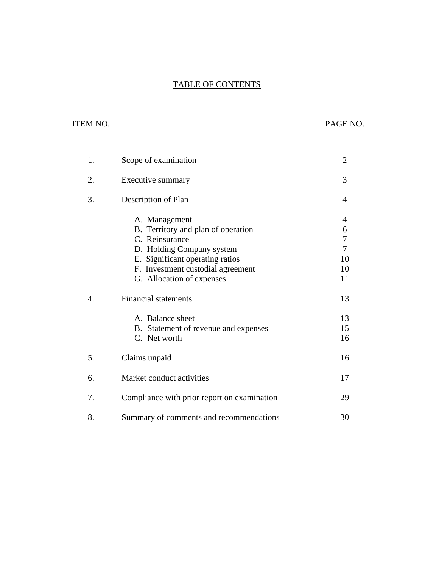# **TABLE OF CONTENTS** TABLE OF CONTENTS ITEM NO. PAGE NO.

# **ITEM NO.**

| 1. | Scope of examination                                                                                                                                                                                    | $\overline{2}$                                  |
|----|---------------------------------------------------------------------------------------------------------------------------------------------------------------------------------------------------------|-------------------------------------------------|
| 2. | Executive summary                                                                                                                                                                                       | 3                                               |
| 3. | Description of Plan                                                                                                                                                                                     | 4                                               |
|    | A. Management<br>B. Territory and plan of operation<br>C. Reinsurance<br>D. Holding Company system<br>E. Significant operating ratios<br>F. Investment custodial agreement<br>G. Allocation of expenses | 4<br>6<br>7<br>$\overline{7}$<br>10<br>10<br>11 |
| 4. | <b>Financial statements</b>                                                                                                                                                                             | 13                                              |
|    | A. Balance sheet<br>B. Statement of revenue and expenses<br>C. Net worth                                                                                                                                | 13<br>15<br>16                                  |
| 5. | Claims unpaid                                                                                                                                                                                           | 16                                              |
| 6. | Market conduct activities                                                                                                                                                                               | 17                                              |
| 7. | Compliance with prior report on examination                                                                                                                                                             | 29                                              |
| 8. | Summary of comments and recommendations                                                                                                                                                                 | 30                                              |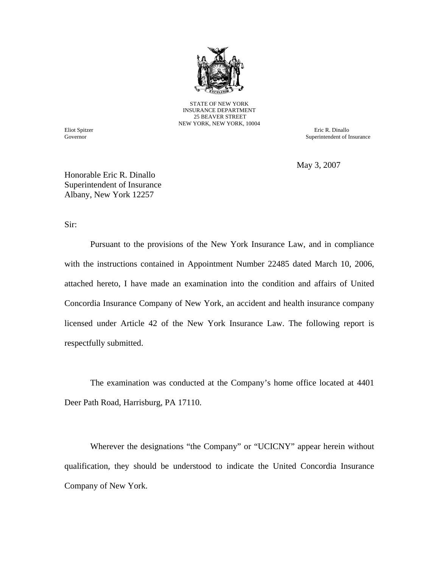

STATE OF NEW YORK INSURANCE DEPARTMENT 25 BEAVER STREET NEW YORK, NEW YORK, 10004

Governor

Eliot Spitzer Eric R. Dinallo Superintendent of Insurance

May 3, 2007

Honorable Eric R. Dinallo Superintendent of Insurance Albany, New York 12257

Sir:

Pursuant to the provisions of the New York Insurance Law, and in compliance with the instructions contained in Appointment Number 22485 dated March 10, 2006, attached hereto, I have made an examination into the condition and affairs of United Concordia Insurance Company of New York, an accident and health insurance company licensed under Article 42 of the New York Insurance Law. The following report is respectfully submitted.

The examination was conducted at the Company's home office located at 4401 Deer Path Road, Harrisburg, PA 17110.

Wherever the designations "the Company" or "UCICNY" appear herein without qualification, they should be understood to indicate the United Concordia Insurance Company of New York.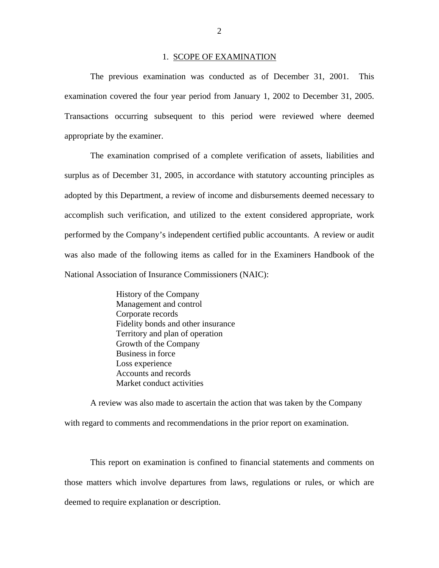#### 1. SCOPE OF EXAMINATION

<span id="page-3-0"></span>The previous examination was conducted as of December 31, 2001. This examination covered the four year period from January 1, 2002 to December 31, 2005. Transactions occurring subsequent to this period were reviewed where deemed appropriate by the examiner.

The examination comprised of a complete verification of assets, liabilities and surplus as of December 31, 2005, in accordance with statutory accounting principles as adopted by this Department, a review of income and disbursements deemed necessary to accomplish such verification, and utilized to the extent considered appropriate, work performed by the Company's independent certified public accountants. A review or audit was also made of the following items as called for in the Examiners Handbook of the National Association of Insurance Commissioners (NAIC):

> History of the Company Management and control Corporate records Fidelity bonds and other insurance Territory and plan of operation Growth of the Company Business in force Loss experience Accounts and records Market conduct activities

A review was also made to ascertain the action that was taken by the Company with regard to comments and recommendations in the prior report on examination.

This report on examination is confined to financial statements and comments on those matters which involve departures from laws, regulations or rules, or which are deemed to require explanation or description.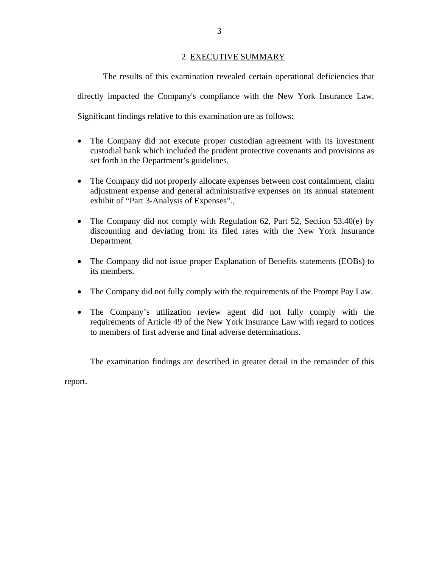#### 2. EXECUTIVE SUMMARY

<span id="page-4-0"></span>The results of this examination revealed certain operational deficiencies that directly impacted the Company's compliance with the New York Insurance Law. Significant findings relative to this examination are as follows:

- The Company did not execute proper custodian agreement with its investment custodial bank which included the prudent protective covenants and provisions as set forth in the Department's guidelines.
- The Company did not properly allocate expenses between cost containment, claim adjustment expense and general administrative expenses on its annual statement exhibit of "Part 3-Analysis of Expenses".,
- The Company did not comply with Regulation 62, Part 52, Section 53.40(e) by discounting and deviating from its filed rates with the New York Insurance Department.
- The Company did not issue proper Explanation of Benefits statements (EOBs) to its members.
- The Company did not fully comply with the requirements of the Prompt Pay Law.
- The Company's utilization review agent did not fully comply with the requirements of Article 49 of the New York Insurance Law with regard to notices to members of first adverse and final adverse determinations.

The examination findings are described in greater detail in the remainder of this

report.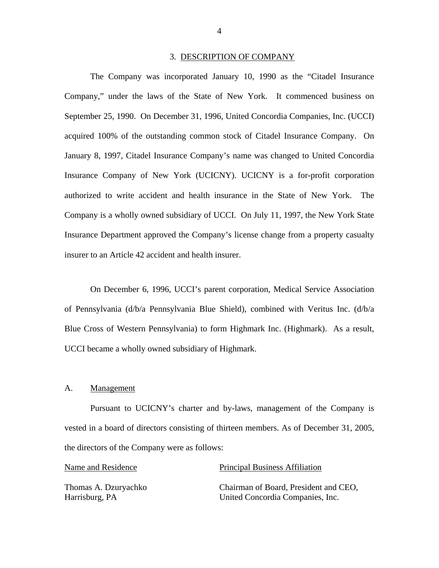#### 3. DESCRIPTION OF COMPANY

<span id="page-5-0"></span>The Company was incorporated January 10, 1990 as the "Citadel Insurance Company," under the laws of the State of New York. It commenced business on September 25, 1990. On December 31, 1996, United Concordia Companies, Inc. (UCCI) acquired 100% of the outstanding common stock of Citadel Insurance Company. On January 8, 1997, Citadel Insurance Company's name was changed to United Concordia Insurance Company of New York (UCICNY). UCICNY is a for-profit corporation authorized to write accident and health insurance in the State of New York. The Company is a wholly owned subsidiary of UCCI. On July 11, 1997, the New York State Insurance Department approved the Company's license change from a property casualty insurer to an Article 42 accident and health insurer.

On December 6, 1996, UCCI's parent corporation, Medical Service Association of Pennsylvania (d/b/a Pennsylvania Blue Shield), combined with Veritus Inc. (d/b/a Blue Cross of Western Pennsylvania) to form Highmark Inc. (Highmark). As a result, UCCI became a wholly owned subsidiary of Highmark.

#### A. Management

Pursuant to UCICNY's charter and by-laws, management of the Company is vested in a board of directors consisting of thirteen members. As of December 31, 2005, the directors of the Company were as follows:

#### Name and Residence **Principal Business Affiliation**

Thomas A. Dzuryachko Chairman of Board, President and CEO, Harrisburg, PA United Concordia Companies, Inc.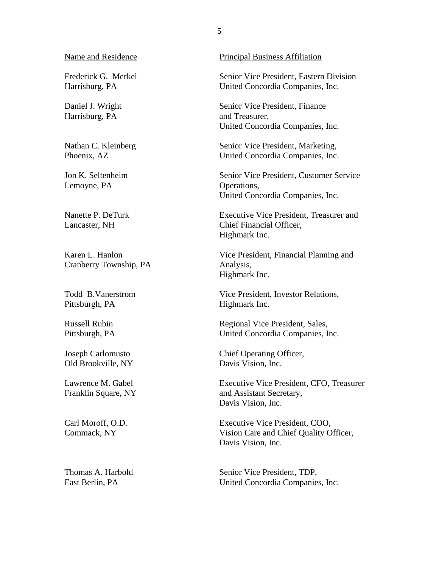Frederick G. Merkel Harrisburg, PA

Daniel J. Wright Harrisburg, PA

Nathan C. Kleinberg Phoenix, AZ

Jon K. Seltenheim Lemoyne, PA

Nanette P. DeTurk Lancaster, NH

Karen L. Hanlon Cranberry Township, PA

Todd B.Vanerstrom Pittsburgh, PA

Russell Rubin Pittsburgh, PA

Joseph Carlomusto Old Brookville, NY

Lawrence M. Gabel Franklin Square, NY

Carl Moroff, O.D. Commack, NY

Thomas A. Harbold East Berlin, PA

Name and Residence Principal Business Affiliation

Senior Vice President, Eastern Division United Concordia Companies, Inc.

Senior Vice President, Finance and Treasurer, United Concordia Companies, Inc.

Senior Vice President, Marketing, United Concordia Companies, Inc.

Senior Vice President, Customer Service Operations, United Concordia Companies, Inc.

Executive Vice President, Treasurer and Chief Financial Officer, Highmark Inc.

Vice President, Financial Planning and Analysis, Highmark Inc.

Vice President, Investor Relations, Highmark Inc.

Regional Vice President, Sales, United Concordia Companies, Inc.

Chief Operating Officer, Davis Vision, Inc.

Executive Vice President, CFO, Treasurer and Assistant Secretary, Davis Vision, Inc.

Executive Vice President, COO, Vision Care and Chief Quality Officer, Davis Vision, Inc.

Senior Vice President, TDP, United Concordia Companies, Inc.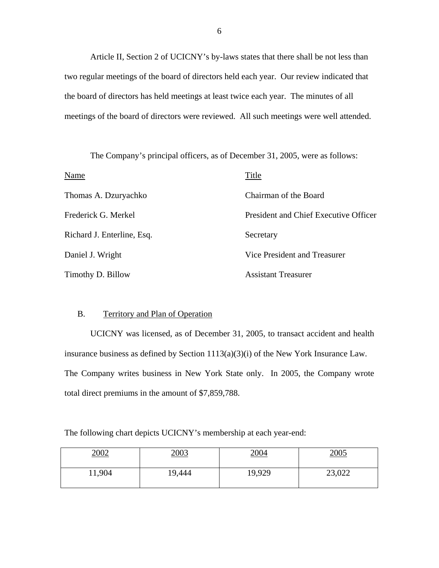Article II, Section 2 of UCICNY's by-laws states that there shall be not less than two regular meetings of the board of directors held each year. Our review indicated that the board of directors has held meetings at least twice each year. The minutes of all meetings of the board of directors were reviewed. All such meetings were well attended.

The Company's principal officers, as of December 31, 2005, were as follows:

| Name                       | Title                                 |
|----------------------------|---------------------------------------|
| Thomas A. Dzuryachko       | Chairman of the Board                 |
| Frederick G. Merkel        | President and Chief Executive Officer |
| Richard J. Enterline, Esq. | Secretary                             |
| Daniel J. Wright           | Vice President and Treasurer          |
| Timothy D. Billow          | <b>Assistant Treasurer</b>            |

### B. Territory and Plan of Operation

UCICNY was licensed, as of December 31, 2005, to transact accident and health insurance business as defined by Section 1113(a)(3)(i) of the New York Insurance Law. The Company writes business in New York State only. In 2005, the Company wrote total direct premiums in the amount of \$7,859,788.

The following chart depicts UCICNY's membership at each year-end:

| 2002   | 2003   | 2004   | 2005   |
|--------|--------|--------|--------|
| 11,904 | 19,444 | 19,929 | 23,022 |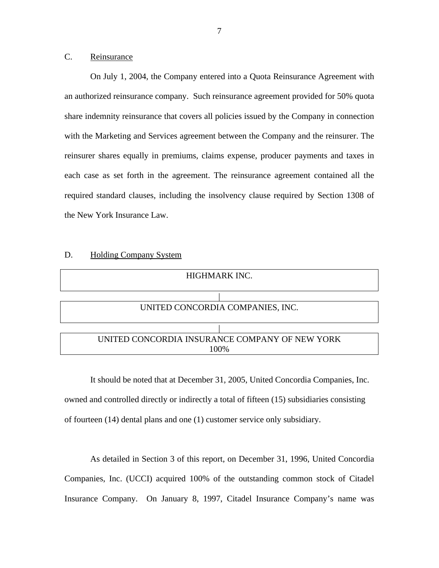### <span id="page-8-0"></span>C. Reinsurance

On July 1, 2004, the Company entered into a Quota Reinsurance Agreement with an authorized reinsurance company. Such reinsurance agreement provided for 50% quota share indemnity reinsurance that covers all policies issued by the Company in connection with the Marketing and Services agreement between the Company and the reinsurer. The reinsurer shares equally in premiums, claims expense, producer payments and taxes in each case as set forth in the agreement. The reinsurance agreement contained all the required standard clauses, including the insolvency clause required by Section 1308 of the New York Insurance Law.



It should be noted that at December 31, 2005, United Concordia Companies, Inc. owned and controlled directly or indirectly a total of fifteen (15) subsidiaries consisting of fourteen (14) dental plans and one (1) customer service only subsidiary.

As detailed in Section 3 of this report, on December 31, 1996, United Concordia Companies, Inc. (UCCI) acquired 100% of the outstanding common stock of Citadel Insurance Company. On January 8, 1997, Citadel Insurance Company's name was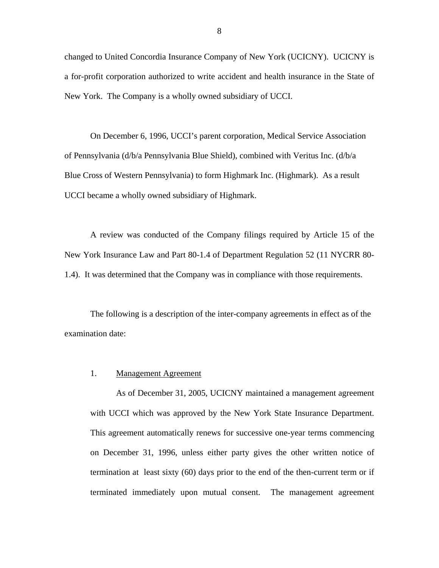changed to United Concordia Insurance Company of New York (UCICNY). UCICNY is a for-profit corporation authorized to write accident and health insurance in the State of New York. The Company is a wholly owned subsidiary of UCCI.

On December 6, 1996, UCCI's parent corporation, Medical Service Association of Pennsylvania (d/b/a Pennsylvania Blue Shield), combined with Veritus Inc. (d/b/a Blue Cross of Western Pennsylvania) to form Highmark Inc. (Highmark). As a result UCCI became a wholly owned subsidiary of Highmark.

A review was conducted of the Company filings required by Article 15 of the New York Insurance Law and Part 80-1.4 of Department Regulation 52 (11 NYCRR 80- 1.4). It was determined that the Company was in compliance with those requirements.

The following is a description of the inter-company agreements in effect as of the examination date:

#### 1. Management Agreement

As of December 31, 2005, UCICNY maintained a management agreement with UCCI which was approved by the New York State Insurance Department. This agreement automatically renews for successive one-year terms commencing on December 31, 1996, unless either party gives the other written notice of termination at least sixty (60) days prior to the end of the then-current term or if terminated immediately upon mutual consent. The management agreement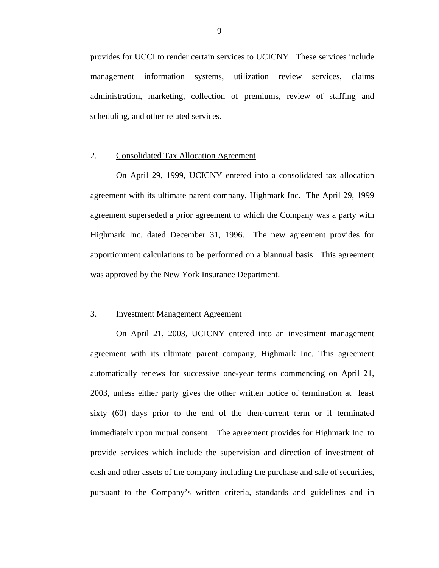provides for UCCI to render certain services to UCICNY. These services include management information systems, utilization review services, claims administration, marketing, collection of premiums, review of staffing and scheduling, and other related services.

#### 2. Consolidated Tax Allocation Agreement

On April 29, 1999, UCICNY entered into a consolidated tax allocation agreement with its ultimate parent company, Highmark Inc. The April 29, 1999 agreement superseded a prior agreement to which the Company was a party with Highmark Inc. dated December 31, 1996. The new agreement provides for apportionment calculations to be performed on a biannual basis. This agreement was approved by the New York Insurance Department.

#### 3. Investment Management Agreement

On April 21, 2003, UCICNY entered into an investment management agreement with its ultimate parent company, Highmark Inc. This agreement automatically renews for successive one-year terms commencing on April 21, 2003, unless either party gives the other written notice of termination at least sixty (60) days prior to the end of the then-current term or if terminated immediately upon mutual consent. The agreement provides for Highmark Inc. to provide services which include the supervision and direction of investment of cash and other assets of the company including the purchase and sale of securities, pursuant to the Company's written criteria, standards and guidelines and in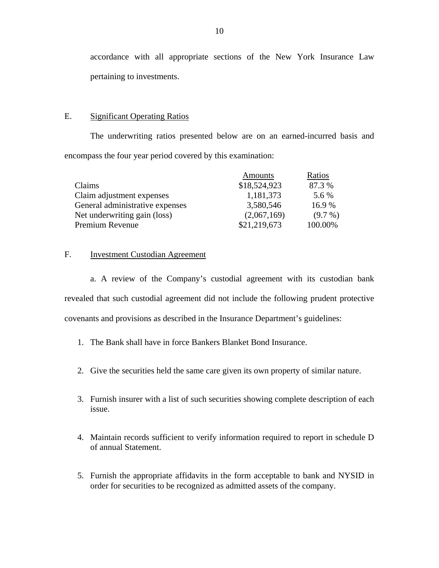<span id="page-11-0"></span>accordance with all appropriate sections of the New York Insurance Law pertaining to investments.

#### E. Significant Operating Ratios

The underwriting ratios presented below are on an earned-incurred basis and encompass the four year period covered by this examination:

|                                 | Amounts      | Ratios     |
|---------------------------------|--------------|------------|
| Claims                          | \$18,524,923 | 87.3 %     |
| Claim adjustment expenses       | 1,181,373    | 5.6 %      |
| General administrative expenses | 3,580,546    | 16.9%      |
| Net underwriting gain (loss)    | (2,067,169)  | $(9.7\% )$ |
| Premium Revenue                 | \$21,219,673 | 100.00%    |

#### F. Investment Custodian Agreement

a. A review of the Company's custodial agreement with its custodian bank revealed that such custodial agreement did not include the following prudent protective covenants and provisions as described in the Insurance Department's guidelines:

- 1. The Bank shall have in force Bankers Blanket Bond Insurance.
- 2. Give the securities held the same care given its own property of similar nature.
- 3. Furnish insurer with a list of such securities showing complete description of each issue.
- 4. Maintain records sufficient to verify information required to report in schedule D of annual Statement.
- 5. Furnish the appropriate affidavits in the form acceptable to bank and NYSID in order for securities to be recognized as admitted assets of the company.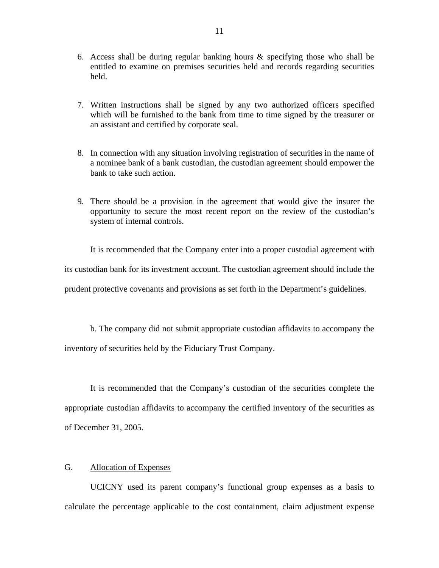- <span id="page-12-0"></span>6. Access shall be during regular banking hours & specifying those who shall be entitled to examine on premises securities held and records regarding securities held.
- 7. Written instructions shall be signed by any two authorized officers specified which will be furnished to the bank from time to time signed by the treasurer or an assistant and certified by corporate seal.
- 8. In connection with any situation involving registration of securities in the name of a nominee bank of a bank custodian, the custodian agreement should empower the bank to take such action.
- 9. There should be a provision in the agreement that would give the insurer the opportunity to secure the most recent report on the review of the custodian's system of internal controls.

It is recommended that the Company enter into a proper custodial agreement with its custodian bank for its investment account. The custodian agreement should include the prudent protective covenants and provisions as set forth in the Department's guidelines.

b. The company did not submit appropriate custodian affidavits to accompany the inventory of securities held by the Fiduciary Trust Company.

It is recommended that the Company's custodian of the securities complete the appropriate custodian affidavits to accompany the certified inventory of the securities as of December 31, 2005.

### G. Allocation of Expenses

UCICNY used its parent company's functional group expenses as a basis to calculate the percentage applicable to the cost containment, claim adjustment expense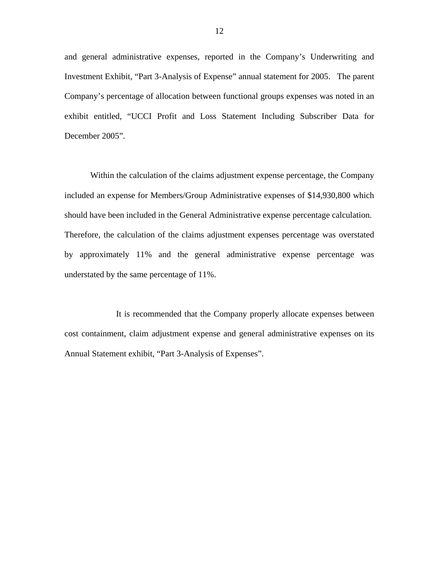and general administrative expenses, reported in the Company's Underwriting and Investment Exhibit, "Part 3-Analysis of Expense" annual statement for 2005. The parent Company's percentage of allocation between functional groups expenses was noted in an exhibit entitled, "UCCI Profit and Loss Statement Including Subscriber Data for December 2005".

Within the calculation of the claims adjustment expense percentage, the Company included an expense for Members/Group Administrative expenses of \$14,930,800 which should have been included in the General Administrative expense percentage calculation. Therefore, the calculation of the claims adjustment expenses percentage was overstated by approximately 11% and the general administrative expense percentage was understated by the same percentage of 11%.

It is recommended that the Company properly allocate expenses between cost containment, claim adjustment expense and general administrative expenses on its Annual Statement exhibit, "Part 3-Analysis of Expenses".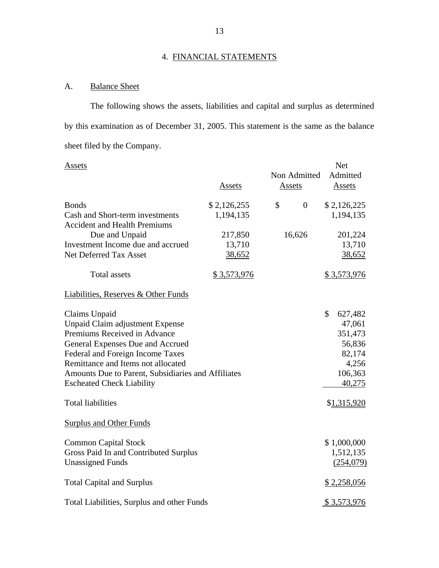# 4. FINANCIAL STATEMENTS

# A. Balance Sheet

The following shows the assets, liabilities and capital and surplus as determined by this examination as of December 31, 2005. This statement is the same as the balance sheet filed by the Company.

| Assets                                                |               | Non Admitted         | <b>Net</b><br>Admitted |
|-------------------------------------------------------|---------------|----------------------|------------------------|
|                                                       | <b>Assets</b> | <b>Assets</b>        | <b>Assets</b>          |
| <b>Bonds</b>                                          | \$2,126,255   | \$<br>$\overline{0}$ | \$2,126,225            |
| Cash and Short-term investments                       | 1,194,135     |                      | 1,194,135              |
| <b>Accident and Health Premiums</b><br>Due and Unpaid | 217,850       | 16,626               | 201,224                |
| Investment Income due and accrued                     | 13,710        |                      | 13,710                 |
| Net Deferred Tax Asset                                | 38,652        |                      | 38,652                 |
| <b>Total assets</b>                                   | \$3,573,976   |                      | \$3,573,976            |
| <b>Liabilities, Reserves &amp; Other Funds</b>        |               |                      |                        |
| Claims Unpaid                                         |               |                      | \$<br>627,482          |
| Unpaid Claim adjustment Expense                       |               |                      | 47,061                 |
| Premiums Received in Advance                          |               |                      | 351,473                |
| General Expenses Due and Accrued                      |               |                      | 56,836                 |
| Federal and Foreign Income Taxes                      |               |                      | 82,174                 |
| Remittance and Items not allocated                    |               |                      | 4,256                  |
| Amounts Due to Parent, Subsidiaries and Affiliates    |               |                      | 106,363                |
| <b>Escheated Check Liability</b>                      |               |                      | 40,275                 |
| <b>Total liabilities</b>                              |               |                      | \$1,315,920            |
| <b>Surplus and Other Funds</b>                        |               |                      |                        |
| <b>Common Capital Stock</b>                           |               |                      | \$1,000,000            |
| Gross Paid In and Contributed Surplus                 |               |                      | 1,512,135              |
| <b>Unassigned Funds</b>                               |               |                      | (254,079)              |
| <b>Total Capital and Surplus</b>                      |               |                      | \$2,258,056            |
| Total Liabilities, Surplus and other Funds            |               |                      | \$3,573,976            |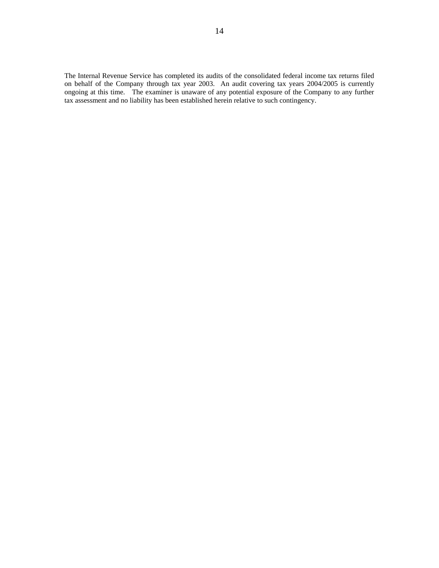tax assessment and no liability has been established herein relative to such contingency. The Internal Revenue Service has completed its audits of the consolidated federal income tax returns filed on behalf of the Company through tax year 2003. An audit covering tax years 2004/2005 is currently ongoing at this time. The examiner is unaware of any potential exposure of the Company to any further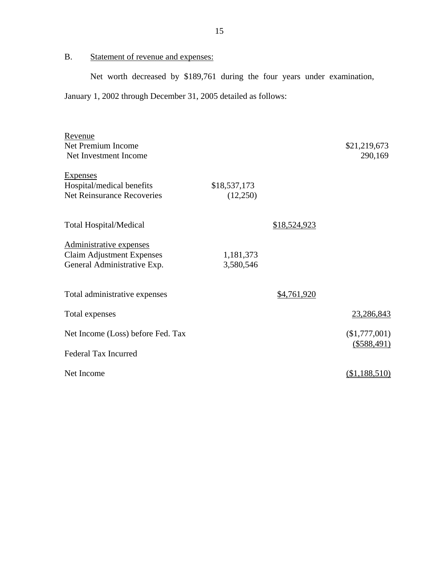# <span id="page-16-0"></span>B. Statement of revenue and expenses:

Net worth decreased by \$189,761 during the four years under examination, January 1, 2002 through December 31, 2005 detailed as follows:

| Revenue                           |              |              |               |
|-----------------------------------|--------------|--------------|---------------|
| Net Premium Income                |              |              | \$21,219,673  |
| Net Investment Income             |              |              | 290,169       |
|                                   |              |              |               |
| <b>Expenses</b>                   |              |              |               |
| Hospital/medical benefits         | \$18,537,173 |              |               |
| <b>Net Reinsurance Recoveries</b> | (12,250)     |              |               |
|                                   |              |              |               |
|                                   |              |              |               |
| <b>Total Hospital/Medical</b>     |              | \$18,524,923 |               |
|                                   |              |              |               |
| Administrative expenses           |              |              |               |
| <b>Claim Adjustment Expenses</b>  | 1,181,373    |              |               |
| General Administrative Exp.       | 3,580,546    |              |               |
|                                   |              |              |               |
|                                   |              |              |               |
| Total administrative expenses     |              | \$4,761,920  |               |
| Total expenses                    |              |              | 23,286,843    |
|                                   |              |              |               |
| Net Income (Loss) before Fed. Tax |              |              | (\$1,777,001) |
|                                   |              |              | $(\$588,491)$ |
| <b>Federal Tax Incurred</b>       |              |              |               |
|                                   |              |              |               |
| Net Income                        |              |              | (\$1,188,510) |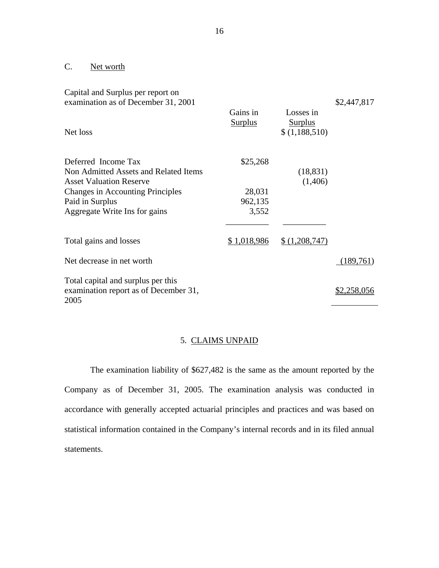## <span id="page-17-0"></span>C. Net worth

| Capital and Surplus per report on<br>examination as of December 31, 2001            |                            |                                              | \$2,447,817        |
|-------------------------------------------------------------------------------------|----------------------------|----------------------------------------------|--------------------|
| Net loss                                                                            | Gains in<br><b>Surplus</b> | Losses in<br><u>Surplus</u><br>\$(1,188,510) |                    |
| Deferred Income Tax                                                                 | \$25,268                   |                                              |                    |
| Non Admitted Assets and Related Items                                               |                            | (18, 831)                                    |                    |
| <b>Asset Valuation Reserve</b>                                                      |                            | (1,406)                                      |                    |
| <b>Changes in Accounting Principles</b>                                             | 28,031                     |                                              |                    |
| Paid in Surplus                                                                     | 962,135                    |                                              |                    |
| Aggregate Write Ins for gains                                                       | 3,552                      |                                              |                    |
|                                                                                     |                            |                                              |                    |
| Total gains and losses                                                              | \$1,018,986                | \$(1,208,747)                                |                    |
| Net decrease in net worth                                                           |                            |                                              | (189,761)          |
| Total capital and surplus per this<br>examination report as of December 31,<br>2005 |                            |                                              | <u>\$2,258,056</u> |

### 5. CLAIMS UNPAID

The examination liability of \$627,482 is the same as the amount reported by the Company as of December 31, 2005. The examination analysis was conducted in accordance with generally accepted actuarial principles and practices and was based on statistical information contained in the Company's internal records and in its filed annual statements.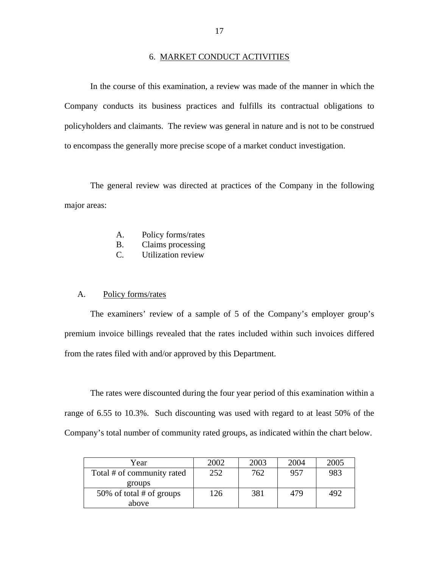#### 6. MARKET CONDUCT ACTIVITIES

In the course of this examination, a review was made of the manner in which the Company conducts its business practices and fulfills its contractual obligations to policyholders and claimants. The review was general in nature and is not to be construed to encompass the generally more precise scope of a market conduct investigation.

The general review was directed at practices of the Company in the following major areas:

- A. Policy forms/rates
- $B<sub>1</sub>$ Claims processing
- C. Utilization review

#### A. Policy forms/rates

The examiners' review of a sample of 5 of the Company's employer group's premium invoice billings revealed that the rates included within such invoices differed from the rates filed with and/or approved by this Department.

The rates were discounted during the four year period of this examination within a range of 6.55 to 10.3%. Such discounting was used with regard to at least 50% of the Company's total number of community rated groups, as indicated within the chart below.

| Year                       | 2002 | 2003 | 2004 | 2005 |
|----------------------------|------|------|------|------|
| Total # of community rated | 252  | 762  | 957  | 983  |
| groups                     |      |      |      |      |
| 50% of total # of groups   | 126  | 381  | 479  | 492  |
| above                      |      |      |      |      |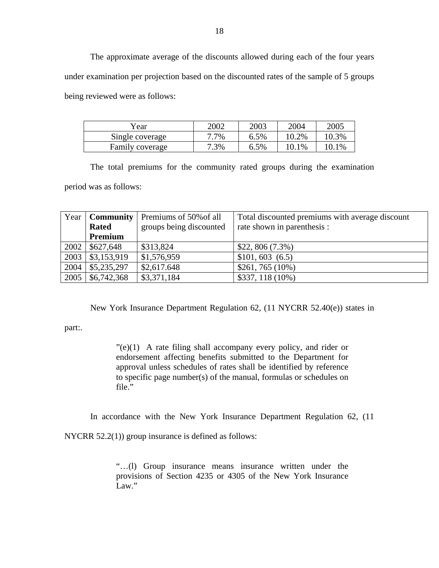The approximate average of the discounts allowed during each of the four years under examination per projection based on the discounted rates of the sample of 5 groups being reviewed were as follows:

| Year            | 2002    | 2003 | 2004  | 2005     |
|-----------------|---------|------|-------|----------|
| Single coverage | $7.7\%$ | 6.5% | 10.2% | $10.3\%$ |
| Family coverage | 7.3%    | 6.5% | 10.1% | $0.1\%$  |

The total premiums for the community rated groups during the examination period was as follows:

|      | Year   Community  <br><b>Rated</b><br>Premium | Premiums of 50% of all<br>groups being discounted | Total discounted premiums with average discount<br>rate shown in parenthesis : |
|------|-----------------------------------------------|---------------------------------------------------|--------------------------------------------------------------------------------|
| 2002 | \$627,648                                     | \$313,824                                         | $$22, 806 (7.3\%)$                                                             |
| 2003 | \$3,153,919                                   | \$1,576,959                                       | \$101, 603 (6.5)                                                               |
| 2004 | \$5,235,297                                   | \$2,617.648                                       | $$261, 765 (10\%)$                                                             |
| 2005 | \$6,742,368                                   | \$3,371,184                                       | $$337, 118 (10\%)$                                                             |

New York Insurance Department Regulation 62, (11 NYCRR 52.40(e)) states in

part:.

 $\degree$ (e)(1) A rate filing shall accompany every policy, and rider or endorsement affecting benefits submitted to the Department for approval unless schedules of rates shall be identified by reference to specific page number(s) of the manual, formulas or schedules on file."

In accordance with the New York Insurance Department Regulation 62, (11

NYCRR 52.2(1)) group insurance is defined as follows:

"…(l) Group insurance means insurance written under the provisions of Section 4235 or 4305 of the New York Insurance Law."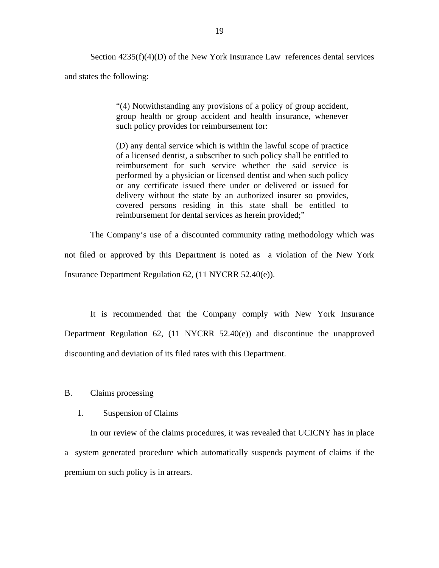Section  $4235(f)(4)(D)$  of the New York Insurance Law references dental services and states the following:

> "(4) Notwithstanding any provisions of a policy of group accident, group health or group accident and health insurance, whenever such policy provides for reimbursement for:

> (D) any dental service which is within the lawful scope of practice of a licensed dentist, a subscriber to such policy shall be entitled to reimbursement for such service whether the said service is performed by a physician or licensed dentist and when such policy or any certificate issued there under or delivered or issued for delivery without the state by an authorized insurer so provides, covered persons residing in this state shall be entitled to reimbursement for dental services as herein provided;"

The Company's use of a discounted community rating methodology which was not filed or approved by this Department is noted as a violation of the New York Insurance Department Regulation 62, (11 NYCRR 52.40(e)).

It is recommended that the Company comply with New York Insurance Department Regulation 62, (11 NYCRR 52.40(e)) and discontinue the unapproved discounting and deviation of its filed rates with this Department.

#### B. Claims processing

#### 1. Suspension of Claims

In our review of the claims procedures, it was revealed that UCICNY has in place a system generated procedure which automatically suspends payment of claims if the premium on such policy is in arrears.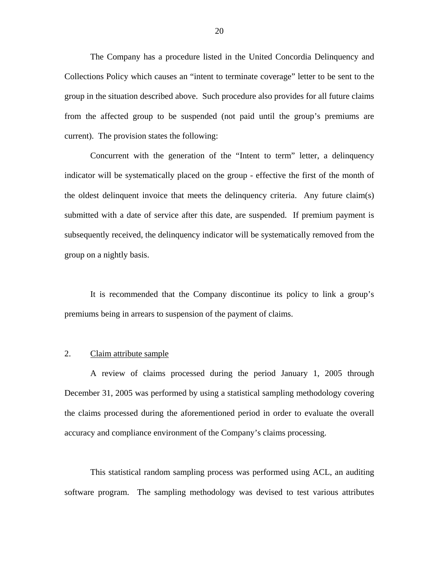The Company has a procedure listed in the United Concordia Delinquency and Collections Policy which causes an "intent to terminate coverage" letter to be sent to the group in the situation described above. Such procedure also provides for all future claims from the affected group to be suspended (not paid until the group's premiums are current). The provision states the following:

Concurrent with the generation of the "Intent to term" letter, a delinquency indicator will be systematically placed on the group - effective the first of the month of the oldest delinquent invoice that meets the delinquency criteria. Any future claim(s) submitted with a date of service after this date, are suspended. If premium payment is subsequently received, the delinquency indicator will be systematically removed from the group on a nightly basis.

It is recommended that the Company discontinue its policy to link a group's premiums being in arrears to suspension of the payment of claims.

#### 2. Claim attribute sample

A review of claims processed during the period January 1, 2005 through December 31, 2005 was performed by using a statistical sampling methodology covering the claims processed during the aforementioned period in order to evaluate the overall accuracy and compliance environment of the Company's claims processing.

This statistical random sampling process was performed using ACL, an auditing software program. The sampling methodology was devised to test various attributes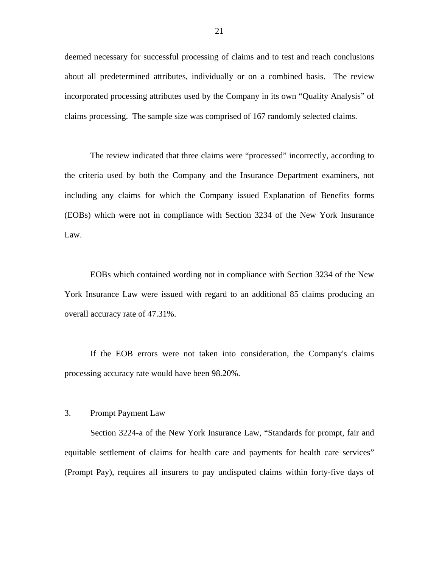deemed necessary for successful processing of claims and to test and reach conclusions about all predetermined attributes, individually or on a combined basis. The review incorporated processing attributes used by the Company in its own "Quality Analysis" of claims processing. The sample size was comprised of 167 randomly selected claims.

The review indicated that three claims were "processed" incorrectly, according to the criteria used by both the Company and the Insurance Department examiners, not including any claims for which the Company issued Explanation of Benefits forms (EOBs) which were not in compliance with Section 3234 of the New York Insurance Law.

EOBs which contained wording not in compliance with Section 3234 of the New York Insurance Law were issued with regard to an additional 85 claims producing an overall accuracy rate of 47.31%.

If the EOB errors were not taken into consideration, the Company's claims processing accuracy rate would have been 98.20%.

#### 3. Prompt Payment Law

Section 3224-a of the New York Insurance Law, "Standards for prompt, fair and equitable settlement of claims for health care and payments for health care services" (Prompt Pay), requires all insurers to pay undisputed claims within forty-five days of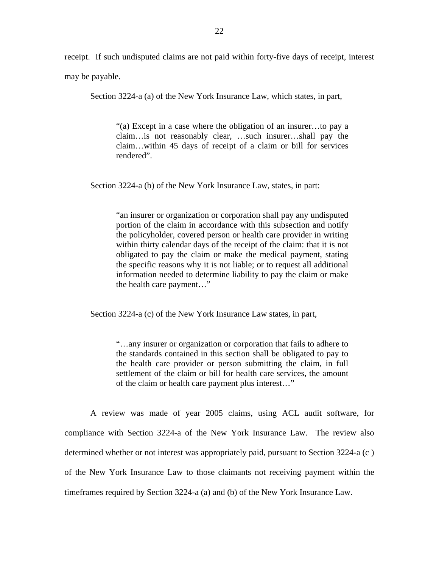receipt. If such undisputed claims are not paid within forty-five days of receipt, interest may be payable.

Section 3224-a (a) of the New York Insurance Law, which states, in part,

"(a) Except in a case where the obligation of an insurer…to pay a claim…is not reasonably clear, …such insurer…shall pay the claim…within 45 days of receipt of a claim or bill for services rendered".

Section 3224-a (b) of the New York Insurance Law, states, in part:

"an insurer or organization or corporation shall pay any undisputed portion of the claim in accordance with this subsection and notify the policyholder, covered person or health care provider in writing within thirty calendar days of the receipt of the claim: that it is not obligated to pay the claim or make the medical payment, stating the specific reasons why it is not liable; or to request all additional information needed to determine liability to pay the claim or make the health care payment…"

Section 3224-a (c) of the New York Insurance Law states, in part,

"…any insurer or organization or corporation that fails to adhere to the standards contained in this section shall be obligated to pay to the health care provider or person submitting the claim, in full settlement of the claim or bill for health care services, the amount of the claim or health care payment plus interest…"

A review was made of year 2005 claims, using ACL audit software, for compliance with Section 3224-a of the New York Insurance Law. The review also determined whether or not interest was appropriately paid, pursuant to Section 3224-a (c ) of the New York Insurance Law to those claimants not receiving payment within the timeframes required by Section 3224-a (a) and (b) of the New York Insurance Law.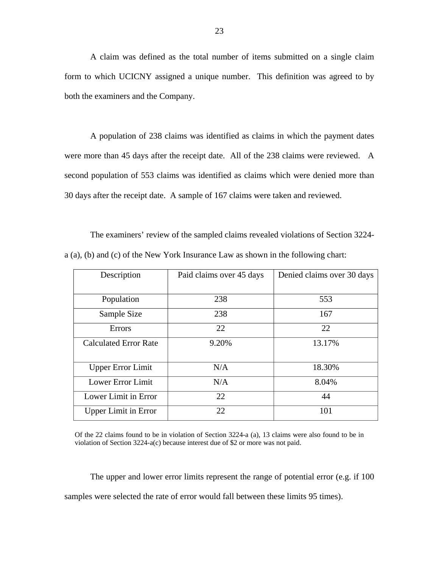A claim was defined as the total number of items submitted on a single claim form to which UCICNY assigned a unique number. This definition was agreed to by both the examiners and the Company.

A population of 238 claims was identified as claims in which the payment dates were more than 45 days after the receipt date. All of the 238 claims were reviewed. A second population of 553 claims was identified as claims which were denied more than 30 days after the receipt date. A sample of 167 claims were taken and reviewed.

The examiners' review of the sampled claims revealed violations of Section 3224 a (a), (b) and (c) of the New York Insurance Law as shown in the following chart:

| Description                  | Paid claims over 45 days | Denied claims over 30 days |
|------------------------------|--------------------------|----------------------------|
| Population                   | 238                      | 553                        |
| Sample Size                  | 238                      | 167                        |
| Errors                       | 22                       | 22                         |
| <b>Calculated Error Rate</b> | 9.20%                    | 13.17%                     |
| <b>Upper Error Limit</b>     | N/A                      | 18.30%                     |
| Lower Error Limit            | N/A                      | 8.04%                      |
| Lower Limit in Error         | 22                       | 44                         |
| <b>Upper Limit in Error</b>  | 22                       | 101                        |

 Of the 22 claims found to be in violation of Section 3224-a (a), 13 claims were also found to be in violation of Section 3224-a(c) because interest due of \$2 or more was not paid.

The upper and lower error limits represent the range of potential error (e.g. if 100 samples were selected the rate of error would fall between these limits 95 times).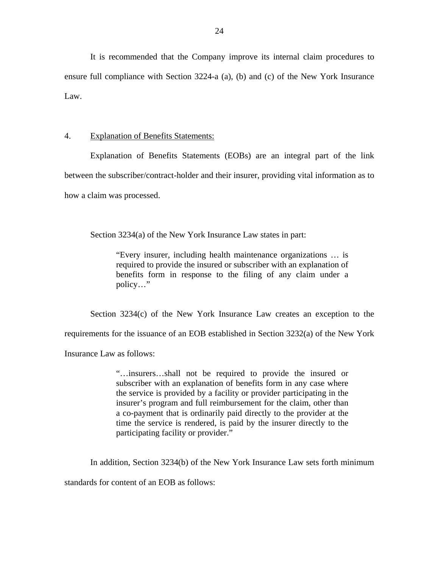It is recommended that the Company improve its internal claim procedures to ensure full compliance with Section 3224-a (a), (b) and (c) of the New York Insurance Law.

#### 4. Explanation of Benefits Statements:

Explanation of Benefits Statements (EOBs) are an integral part of the link between the subscriber/contract-holder and their insurer, providing vital information as to how a claim was processed.

Section 3234(a) of the New York Insurance Law states in part:

"Every insurer, including health maintenance organizations … is required to provide the insured or subscriber with an explanation of benefits form in response to the filing of any claim under a policy…"

Section 3234(c) of the New York Insurance Law creates an exception to the requirements for the issuance of an EOB established in Section 3232(a) of the New York Insurance Law as follows:

> "…insurers…shall not be required to provide the insured or subscriber with an explanation of benefits form in any case where the service is provided by a facility or provider participating in the insurer's program and full reimbursement for the claim, other than a co-payment that is ordinarily paid directly to the provider at the time the service is rendered, is paid by the insurer directly to the participating facility or provider."

In addition, Section 3234(b) of the New York Insurance Law sets forth minimum

standards for content of an EOB as follows: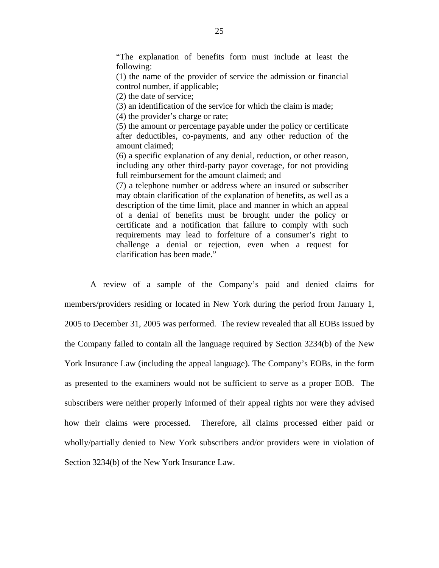"The explanation of benefits form must include at least the following:

(1) the name of the provider of service the admission or financial control number, if applicable;

(2) the date of service;

(3) an identification of the service for which the claim is made;

(4) the provider's charge or rate;

(5) the amount or percentage payable under the policy or certificate after deductibles, co-payments, and any other reduction of the amount claimed;

(6) a specific explanation of any denial, reduction, or other reason, including any other third-party payor coverage, for not providing full reimbursement for the amount claimed; and

(7) a telephone number or address where an insured or subscriber may obtain clarification of the explanation of benefits, as well as a description of the time limit, place and manner in which an appeal of a denial of benefits must be brought under the policy or certificate and a notification that failure to comply with such requirements may lead to forfeiture of a consumer's right to challenge a denial or rejection, even when a request for clarification has been made."

A review of a sample of the Company's paid and denied claims for members/providers residing or located in New York during the period from January 1, 2005 to December 31, 2005 was performed. The review revealed that all EOBs issued by the Company failed to contain all the language required by Section 3234(b) of the New York Insurance Law (including the appeal language). The Company's EOBs, in the form as presented to the examiners would not be sufficient to serve as a proper EOB. The subscribers were neither properly informed of their appeal rights nor were they advised how their claims were processed. Therefore, all claims processed either paid or wholly/partially denied to New York subscribers and/or providers were in violation of Section 3234(b) of the New York Insurance Law.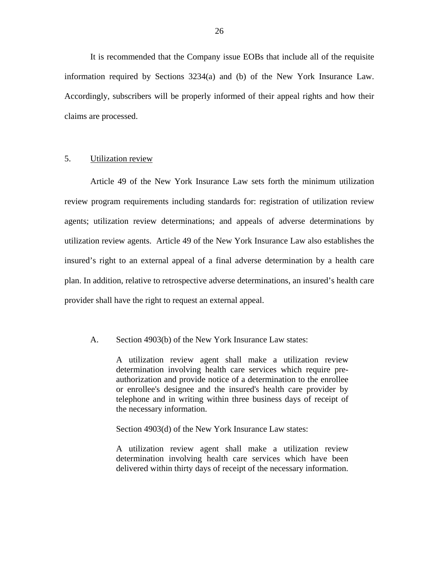It is recommended that the Company issue EOBs that include all of the requisite information required by Sections 3234(a) and (b) of the New York Insurance Law. Accordingly, subscribers will be properly informed of their appeal rights and how their claims are processed.

#### 5. Utilization review

Article 49 of the New York Insurance Law sets forth the minimum utilization review program requirements including standards for: registration of utilization review agents; utilization review determinations; and appeals of adverse determinations by utilization review agents. Article 49 of the New York Insurance Law also establishes the insured's right to an external appeal of a final adverse determination by a health care plan. In addition, relative to retrospective adverse determinations, an insured's health care provider shall have the right to request an external appeal.

#### A. Section 4903(b) of the New York Insurance Law states:

A utilization review agent shall make a utilization review determination involving health care services which require preauthorization and provide notice of a determination to the enrollee or enrollee's designee and the insured's health care provider by telephone and in writing within three business days of receipt of the necessary information.

Section 4903(d) of the New York Insurance Law states:

A utilization review agent shall make a utilization review determination involving health care services which have been delivered within thirty days of receipt of the necessary information.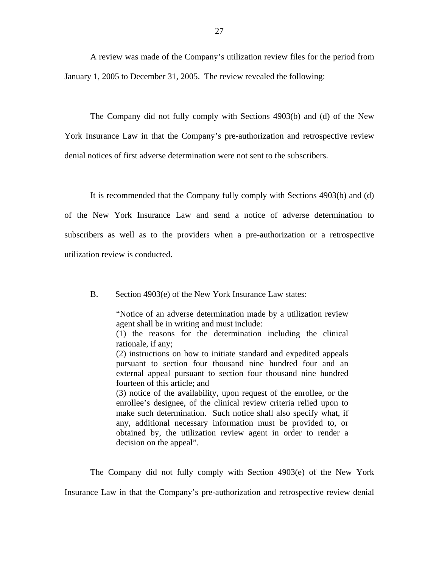A review was made of the Company's utilization review files for the period from January 1, 2005 to December 31, 2005. The review revealed the following:

The Company did not fully comply with Sections 4903(b) and (d) of the New York Insurance Law in that the Company's pre-authorization and retrospective review denial notices of first adverse determination were not sent to the subscribers.

It is recommended that the Company fully comply with Sections 4903(b) and (d) of the New York Insurance Law and send a notice of adverse determination to subscribers as well as to the providers when a pre-authorization or a retrospective utilization review is conducted.

B. Section 4903(e) of the New York Insurance Law states:

"Notice of an adverse determination made by a utilization review agent shall be in writing and must include:

(1) the reasons for the determination including the clinical rationale, if any;

(2) instructions on how to initiate standard and expedited appeals pursuant to section four thousand nine hundred four and an external appeal pursuant to section four thousand nine hundred fourteen of this article; and

(3) notice of the availability, upon request of the enrollee, or the enrollee's designee, of the clinical review criteria relied upon to make such determination. Such notice shall also specify what, if any, additional necessary information must be provided to, or obtained by, the utilization review agent in order to render a decision on the appeal".

The Company did not fully comply with Section 4903(e) of the New York

Insurance Law in that the Company's pre-authorization and retrospective review denial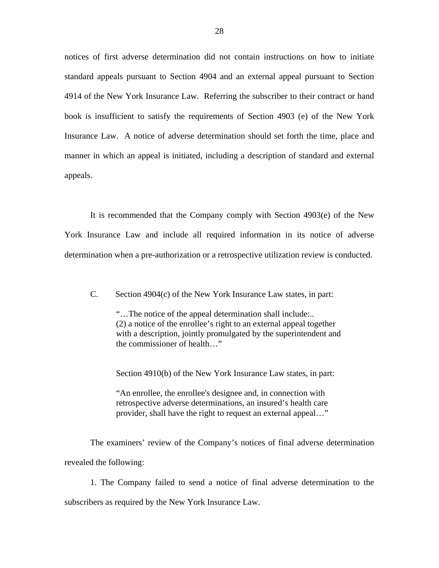notices of first adverse determination did not contain instructions on how to initiate standard appeals pursuant to Section 4904 and an external appeal pursuant to Section 4914 of the New York Insurance Law. Referring the subscriber to their contract or hand book is insufficient to satisfy the requirements of Section 4903 (e) of the New York Insurance Law. A notice of adverse determination should set forth the time, place and manner in which an appeal is initiated, including a description of standard and external appeals.

It is recommended that the Company comply with Section 4903(e) of the New York Insurance Law and include all required information in its notice of adverse determination when a pre-authorization or a retrospective utilization review is conducted.

C. Section 4904(c) of the New York Insurance Law states, in part:

"…The notice of the appeal determination shall include:.. (2) a notice of the enrollee's right to an external appeal together with a description, jointly promulgated by the superintendent and the commissioner of health…"

Section 4910(b) of the New York Insurance Law states, in part:

"An enrollee, the enrollee's designee and, in connection with retrospective adverse determinations, an insured's health care provider, shall have the right to request an external appeal…"

The examiners' review of the Company's notices of final adverse determination revealed the following:

1. The Company failed to send a notice of final adverse determination to the subscribers as required by the New York Insurance Law.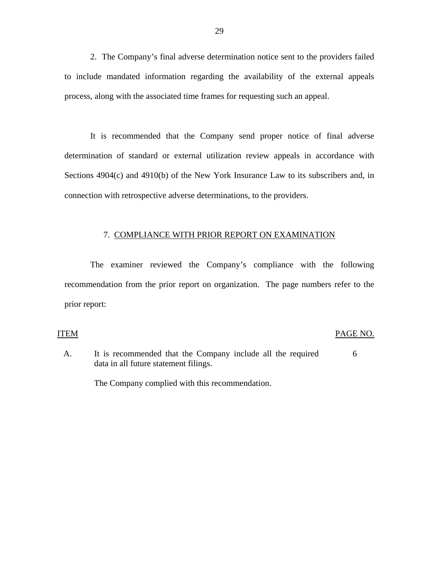2. The Company's final adverse determination notice sent to the providers failed to include mandated information regarding the availability of the external appeals process, along with the associated time frames for requesting such an appeal.

It is recommended that the Company send proper notice of final adverse determination of standard or external utilization review appeals in accordance with Sections 4904(c) and 4910(b) of the New York Insurance Law to its subscribers and, in connection with retrospective adverse determinations, to the providers.

#### 7. COMPLIANCE WITH PRIOR REPORT ON EXAMINATION

The examiner reviewed the Company's compliance with the following recommendation from the prior report on organization. The page numbers refer to the prior report:

#### **ITEM**

#### PAGE NO.

A. It is recommended that the Company include all the required data in all future statement filings. 6

The Company complied with this recommendation.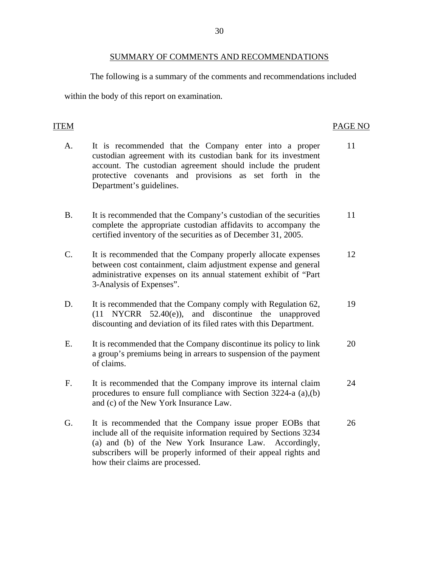#### SUMMARY OF COMMENTS AND RECOMMENDATIONS

The following is a summary of the comments and recommendations included

<span id="page-31-0"></span>within the body of this report on examination.

#### **ITEM**

### PAGE NO

- A. It is recommended that the Company enter into a proper 11 custodian agreement with its custodian bank for its investment account. The custodian agreement should include the prudent protective covenants and provisions as set forth in the Department's guidelines.
- B. It is recommended that the Company's custodian of the securities 11 complete the appropriate custodian affidavits to accompany the certified inventory of the securities as of December 31, 2005.
- C. It is recommended that the Company properly allocate expenses 12 between cost containment, claim adjustment expense and general administrative expenses on its annual statement exhibit of "Part 3-Analysis of Expenses".
- D. It is recommended that the Company comply with Regulation 62, 19 (11 NYCRR 52.40(e)), and discontinue the unapproved discounting and deviation of its filed rates with this Department.
- E. It is recommended that the Company discontinue its policy to link 20 a group's premiums being in arrears to suspension of the payment of claims.
- F. It is recommended that the Company improve its internal claim 24 procedures to ensure full compliance with Section 3224-a (a),(b) and (c) of the New York Insurance Law.
- G. It is recommended that the Company issue proper EOBs that 26 include all of the requisite information required by Sections 3234 (a) and (b) of the New York Insurance Law. Accordingly, subscribers will be properly informed of their appeal rights and how their claims are processed.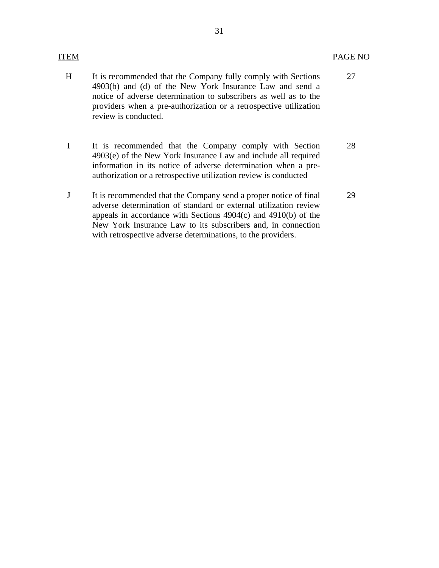27

- H It is recommended that the Company fully comply with Sections 4903(b) and (d) of the New York Insurance Law and send a notice of adverse determination to subscribers as well as to the providers when a pre-authorization or a retrospective utilization review is conducted.
- I It is recommended that the Company comply with Section 4903(e) of the New York Insurance Law and include all required information in its notice of adverse determination when a preauthorization or a retrospective utilization review is conducted 28
- J It is recommended that the Company send a proper notice of final adverse determination of standard or external utilization review appeals in accordance with Sections 4904(c) and 4910(b) of the New York Insurance Law to its subscribers and, in connection with retrospective adverse determinations, to the providers. 29